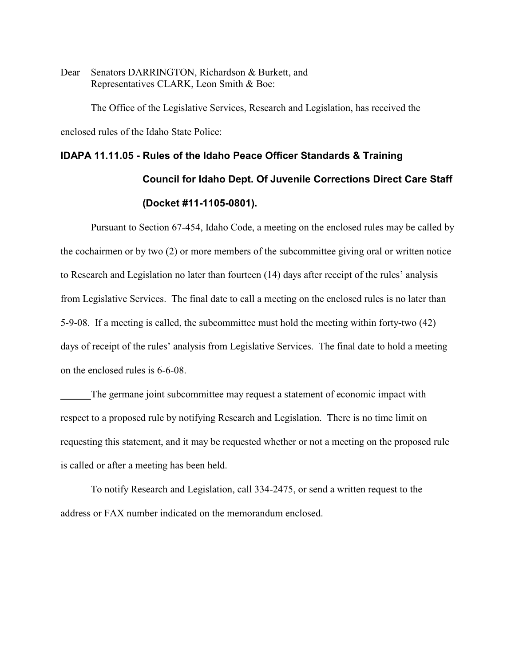Dear Senators DARRINGTON, Richardson & Burkett, and Representatives CLARK, Leon Smith & Boe:

The Office of the Legislative Services, Research and Legislation, has received the enclosed rules of the Idaho State Police:

# **IDAPA 11.11.05 - Rules of the Idaho Peace Officer Standards & Training Council for Idaho Dept. Of Juvenile Corrections Direct Care Staff (Docket #11-1105-0801).**

Pursuant to Section 67-454, Idaho Code, a meeting on the enclosed rules may be called by the cochairmen or by two (2) or more members of the subcommittee giving oral or written notice to Research and Legislation no later than fourteen (14) days after receipt of the rules' analysis from Legislative Services. The final date to call a meeting on the enclosed rules is no later than 5-9-08. If a meeting is called, the subcommittee must hold the meeting within forty-two (42) days of receipt of the rules' analysis from Legislative Services. The final date to hold a meeting on the enclosed rules is 6-6-08.

The germane joint subcommittee may request a statement of economic impact with respect to a proposed rule by notifying Research and Legislation. There is no time limit on requesting this statement, and it may be requested whether or not a meeting on the proposed rule is called or after a meeting has been held.

To notify Research and Legislation, call 334-2475, or send a written request to the address or FAX number indicated on the memorandum enclosed.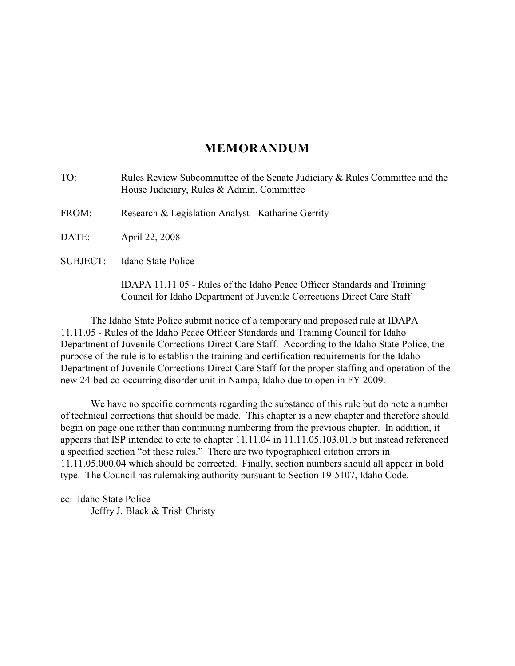# **MEMORANDUM**

TO: Rules Review Subcommittee of the Senate Judiciary & Rules Committee and the House Judiciary, Rules & Admin. Committee FROM: Research & Legislation Analyst - Katharine Gerrity DATE: April 22, 2008 SUBJECT: Idaho State Police

IDAPA 11.11.05 - Rules of the Idaho Peace Officer Standards and Training Council for Idaho Department of Juvenile Corrections Direct Care Staff

The Idaho State Police submit notice of a temporary and proposed rule at IDAPA 11.11.05 - Rules of the Idaho Peace Officer Standards and Training Council for Idaho Department of Juvenile Corrections Direct Care Staff. According to the Idaho State Police, the purpose of the rule is to establish the training and certification requirements for the Idaho Department of Juvenile Corrections Direct Care Staff for the proper staffing and operation of the new 24-bed co-occurring disorder unit in Nampa, Idaho due to open in FY 2009.

We have no specific comments regarding the substance of this rule but do note a number of technical corrections that should be made. This chapter is a new chapter and therefore should begin on page one rather than continuing numbering from the previous chapter. In addition, it appears that ISP intended to cite to chapter 11.11.04 in 11.11.05.103.01.b but instead referenced a specified section "of these rules." There are two typographical citation errors in 11.11.05.000.04 which should be corrected. Finally, section numbers should all appear in bold type. The Council has rulemaking authority pursuant to Section 19-5107, Idaho Code.

cc: Idaho State Police Jeffry J. Black & Trish Christy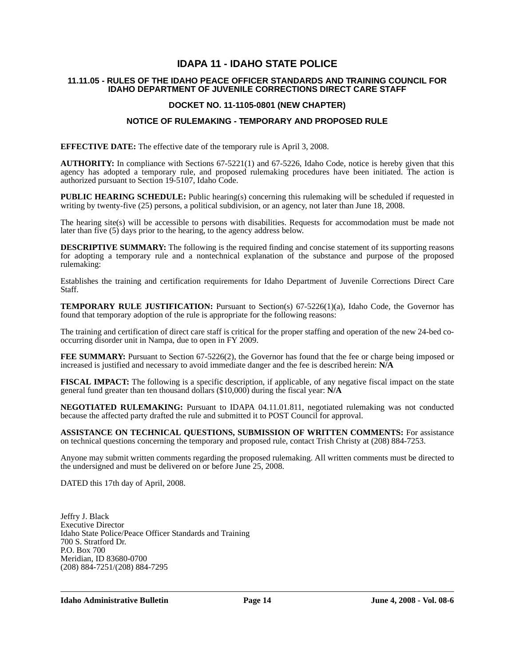# **IDAPA 11 - IDAHO STATE POLICE**

# **11.11.05 - RULES OF THE IDAHO PEACE OFFICER STANDARDS AND TRAINING COUNCIL FOR IDAHO DEPARTMENT OF JUVENILE CORRECTIONS DIRECT CARE STAFF**

# **DOCKET NO. 11-1105-0801 (NEW CHAPTER)**

# **NOTICE OF RULEMAKING - TEMPORARY AND PROPOSED RULE**

**EFFECTIVE DATE:** The effective date of the temporary rule is April 3, 2008.

**AUTHORITY:** In compliance with Sections 67-5221(1) and 67-5226, Idaho Code, notice is hereby given that this agency has adopted a temporary rule, and proposed rulemaking procedures have been initiated. The action is authorized pursuant to Section 19-5107, Idaho Code.

**PUBLIC HEARING SCHEDULE:** Public hearing(s) concerning this rulemaking will be scheduled if requested in writing by twenty-five (25) persons, a political subdivision, or an agency, not later than June 18, 2008.

The hearing site(s) will be accessible to persons with disabilities. Requests for accommodation must be made not later than five (5) days prior to the hearing, to the agency address below.

**DESCRIPTIVE SUMMARY:** The following is the required finding and concise statement of its supporting reasons for adopting a temporary rule and a nontechnical explanation of the substance and purpose of the proposed rulemaking:

Establishes the training and certification requirements for Idaho Department of Juvenile Corrections Direct Care Staff.

**TEMPORARY RULE JUSTIFICATION:** Pursuant to Section(s) 67-5226(1)(a), Idaho Code, the Governor has found that temporary adoption of the rule is appropriate for the following reasons:

The training and certification of direct care staff is critical for the proper staffing and operation of the new 24-bed cooccurring disorder unit in Nampa, due to open in FY 2009.

**FEE SUMMARY:** Pursuant to Section 67-5226(2), the Governor has found that the fee or charge being imposed or increased is justified and necessary to avoid immediate danger and the fee is described herein: **N/A**

**FISCAL IMPACT:** The following is a specific description, if applicable, of any negative fiscal impact on the state general fund greater than ten thousand dollars (\$10,000) during the fiscal year: **N/A**

**NEGOTIATED RULEMAKING:** Pursuant to IDAPA 04.11.01.811, negotiated rulemaking was not conducted because the affected party drafted the rule and submitted it to POST Council for approval.

**ASSISTANCE ON TECHNICAL QUESTIONS, SUBMISSION OF WRITTEN COMMENTS:** For assistance on technical questions concerning the temporary and proposed rule, contact Trish Christy at (208) 884-7253.

Anyone may submit written comments regarding the proposed rulemaking. All written comments must be directed to the undersigned and must be delivered on or before June 25, 2008.

DATED this 17th day of April, 2008.

Jeffry J. Black Executive Director Idaho State Police/Peace Officer Standards and Training 700 S. Stratford Dr. P.O. Box 700 Meridian, ID 83680-0700 (208) 884-7251/(208) 884-7295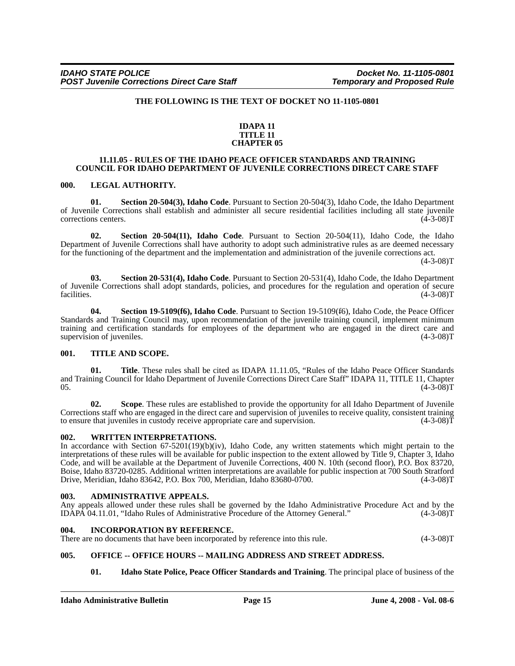# **THE FOLLOWING IS THE TEXT OF DOCKET NO 11-1105-0801**

# **IDAPA 11 TITLE 11 CHAPTER 05**

# **11.11.05 - RULES OF THE IDAHO PEACE OFFICER STANDARDS AND TRAINING COUNCIL FOR IDAHO DEPARTMENT OF JUVENILE CORRECTIONS DIRECT CARE STAFF**

#### **000. LEGAL AUTHORITY.**

**01. Section 20-504(3), Idaho Code**. Pursuant to Section 20-504(3), Idaho Code, the Idaho Department of Juvenile Corrections shall establish and administer all secure residential facilities including all state juvenile corrections centers. (4-3-08)T

**02. Section 20-504(11), Idaho Code**. Pursuant to Section 20-504(11), Idaho Code, the Idaho Department of Juvenile Corrections shall have authority to adopt such administrative rules as are deemed necessary for the functioning of the department and the implementation and administration of the juvenile corrections act.  $(4-3-08)T$ 

**03. Section 20-531(4), Idaho Code**. Pursuant to Section 20-531(4), Idaho Code, the Idaho Department of Juvenile Corrections shall adopt standards, policies, and procedures for the regulation and operation of secure facilities. (4-3-08)T

**04. Section 19-5109(f6), Idaho Code**. Pursuant to Section 19-5109(f6), Idaho Code, the Peace Officer Standards and Training Council may, upon recommendation of the juvenile training council, implement minimum training and certification standards for employees of the department who are engaged in the direct care and supervision of juveniles. (4-3-08)T supervision of juveniles.

# **001. TITLE AND SCOPE.**

**01. Title**. These rules shall be cited as IDAPA 11.11.05, "Rules of the Idaho Peace Officer Standards and Training Council for Idaho Department of Juvenile Corrections Direct Care Staff" IDAPA 11, TITLE 11, Chapter 05.  $(4-3-08)T$ 

**02. Scope**. These rules are established to provide the opportunity for all Idaho Department of Juvenile Corrections staff who are engaged in the direct care and supervision of juveniles to receive quality, consistent training to ensure that juveniles in custody receive appropriate care and supervision. (4-3-08)T

#### **002. WRITTEN INTERPRETATIONS.**

In accordance with Section 67-5201(19)(b)(iv), Idaho Code, any written statements which might pertain to the interpretations of these rules will be available for public inspection to the extent allowed by Title 9, Chapter 3, Idaho Code, and will be available at the Department of Juvenile Corrections, 400 N. 10th (second floor), P.O. Box 83720, Boise, Idaho 83720-0285. Additional written interpretations are available for public inspection at 700 South Stratford<br>Drive. Meridian. Idaho 83642, P.O. Box 700. Meridian. Idaho 83680-0700. Drive, Meridian, Idaho 83642, P.O. Box 700, Meridian, Idaho 83680-0700.

#### **003. ADMINISTRATIVE APPEALS.**

Any appeals allowed under these rules shall be governed by the Idaho Administrative Procedure Act and by the IDAPA 04.11.01, "Idaho Rules of Administrative Procedure of the Attorney General." (4-3-08)T IDAPA 04.11.01, "Idaho Rules of Administrative Procedure of the Attorney General."

#### **004. INCORPORATION BY REFERENCE.**

There are no documents that have been incorporated by reference into this rule. (4-3-08)T

# **005. OFFICE -- OFFICE HOURS -- MAILING ADDRESS AND STREET ADDRESS.**

**01. Idaho State Police, Peace Officer Standards and Training**. The principal place of business of the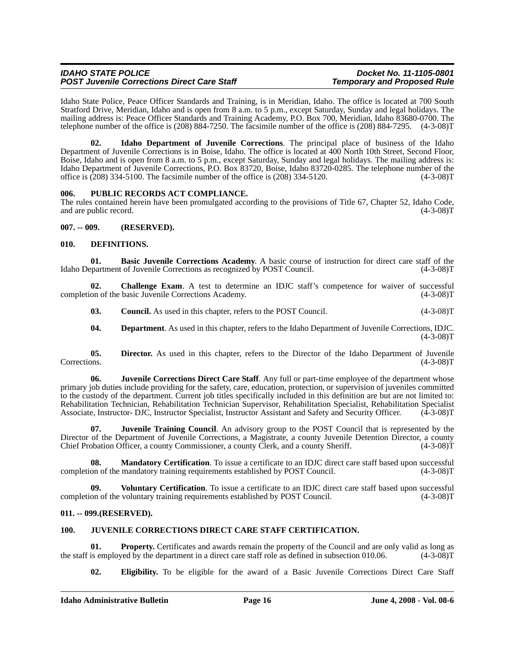| <b>IDAHO STATE POLICE</b>                          | Docket No. 11-1105-0801            |
|----------------------------------------------------|------------------------------------|
| <b>POST Juvenile Corrections Direct Care Staff</b> | <b>Temporary and Proposed Rule</b> |

Idaho State Police, Peace Officer Standards and Training, is in Meridian, Idaho. The office is located at 700 South Stratford Drive, Meridian, Idaho and is open from 8 a.m. to 5 p.m., except Saturday, Sunday and legal holidays. The mailing address is: Peace Officer Standards and Training Academy, P.O. Box 700, Meridian, Idaho 83680-0700. The telephone number of the office is (208) 884-7250. The facsimile number of the office is (208) 884-7295. (4-3-08)T

**02. Idaho Department of Juvenile Corrections**. The principal place of business of the Idaho Department of Juvenile Corrections is in Boise, Idaho. The office is located at 400 North 10th Street, Second Floor, Boise, Idaho and is open from 8 a.m. to 5 p.m., except Saturday, Sunday and legal holidays. The mailing address is: Idaho Department of Juvenile Corrections, P.O. Box 83720, Boise, Idaho 83720-0285. The telephone number of the office is (208) 334-5100. The facsimile number of the office is (208) 334-5120. (4-3-08)T

# **006. PUBLIC RECORDS ACT COMPLIANCE.**

The rules contained herein have been promulgated according to the provisions of Title 67, Chapter 52, Idaho Code, and are public record.  $(4-3-08)T$ 

**007. -- 009. (RESERVED).**

# **010. DEFINITIONS.**

**01. Basic Juvenile Corrections Academy**. A basic course of instruction for direct care staff of the partment of Juvenile Corrections as recognized by POST Council. (4-3-08)T Idaho Department of Juvenile Corrections as recognized by POST Council.

**02. Challenge Exam**. A test to determine an IDJC staff's competence for waiver of successful completion of the basic Juvenile Corrections Academy. (4-3-08)T

**03.** Council. As used in this chapter, refers to the POST Council. (4-3-08)T

**04. Department**. As used in this chapter, refers to the Idaho Department of Juvenile Corrections, IDJC.  $(4-3-08)T$ 

**05.** Director. As used in this chapter, refers to the Director of the Idaho Department of Juvenile Corrections. (4-3-08) Corrections. (4-3-08)T

**06. Juvenile Corrections Direct Care Staff**. Any full or part-time employee of the department whose primary job duties include providing for the safety, care, education, protection, or supervision of juveniles committed to the custody of the department. Current job titles specifically included in this definition are but are not limited to: Rehabilitation Technician, Rehabilitation Technician Supervisor, Rehabilitation Specialist, Rehabilitation Specialist Associate, Instructor- DJC, Instructor Specialist, Instructor Assistant and Safety and Security Officer. (4-3-08)T

**07. Juvenile Training Council**. An advisory group to the POST Council that is represented by the Director of the Department of Juvenile Corrections, a Magistrate, a county Juvenile Detention Director, a county Chief Probation Officer, a county Commissioner, a county Clerk, and a county Sheriff. (4-3-08)T

**08.** Mandatory Certification. To issue a certificate to an IDJC direct care staff based upon successful on of the mandatory training requirements established by POST Council. (4-3-08)T completion of the mandatory training requirements established by POST Council.

**Voluntary Certification**. To issue a certificate to an IDJC direct care staff based upon successful completion of the voluntary training requirements established by POST Council. (4-3-08)T

# **011. -- 099.(RESERVED).**

# **100. JUVENILE CORRECTIONS DIRECT CARE STAFF CERTIFICATION.**

**01. Property.** Certificates and awards remain the property of the Council and are only valid as long as is employed by the department in a direct care staff role as defined in subsection 010.06. (4-3-08)T the staff is employed by the department in a direct care staff role as defined in subsection 010.06.

**02. Eligibility.** To be eligible for the award of a Basic Juvenile Corrections Direct Care Staff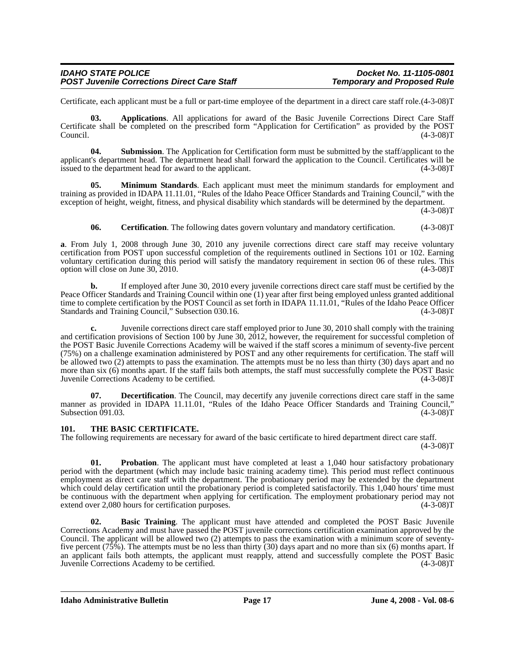| <b>IDAHO STATE POLICE</b>                          | Docket No. 11-1105-0801            |
|----------------------------------------------------|------------------------------------|
| <b>POST Juvenile Corrections Direct Care Staff</b> | <b>Temporary and Proposed Rule</b> |

Certificate, each applicant must be a full or part-time employee of the department in a direct care staff role.(4-3-08)T

**03. Applications**. All applications for award of the Basic Juvenile Corrections Direct Care Staff Certificate shall be completed on the prescribed form "Application for Certification" as provided by the POST Council. (4-3-08)T

**04.** Submission. The Application for Certification form must be submitted by the staff/applicant to the applicant's department head. The department head shall forward the application to the Council. Certificates will be issued to the department head for award to the applicant. (4-3-08)T

**05. Minimum Standards**. Each applicant must meet the minimum standards for employment and training as provided in IDAPA 11.11.01, "Rules of the Idaho Peace Officer Standards and Training Council," with the exception of height, weight, fitness, and physical disability which standards will be determined by the department.

 $(4-3-08)T$ 

**06. Certification**. The following dates govern voluntary and mandatory certification. (4-3-08)T

**a**. From July 1, 2008 through June 30, 2010 any juvenile corrections direct care staff may receive voluntary certification from POST upon successful completion of the requirements outlined in Sections 101 or 102. Earning voluntary certification during this period will satisfy the mandatory requirement in section 06 of these rules. This option will close on June 30, 2010. (4-3-08)T

**b.** If employed after June 30, 2010 every juvenile corrections direct care staff must be certified by the Peace Officer Standards and Training Council within one (1) year after first being employed unless granted additional time to complete certification by the POST Council as set forth in IDAPA 11.11.01, "Rules of the Idaho Peace Officer<br>Standards and Training Council." Subsection 030.16. Standards and Training Council," Subsection 030.16.

**c.** Juvenile corrections direct care staff employed prior to June 30, 2010 shall comply with the training and certification provisions of Section 100 by June 30, 2012, however, the requirement for successful completion of the POST Basic Juvenile Corrections Academy will be waived if the staff scores a minimum of seventy-five percent (75%) on a challenge examination administered by POST and any other requirements for certification. The staff will be allowed two (2) attempts to pass the examination. The attempts must be no less than thirty (30) days apart and no more than six (6) months apart. If the staff fails both attempts, the staff must successfully complete the POST Basic Juvenile Corrections Academy to be certified. (4-3-08)T

**07. Decertification**. The Council, may decertify any juvenile corrections direct care staff in the same manner as provided in IDAPA 11.11.01, "Rules of the Idaho Peace Officer Standards and Training Council," Subsection 091.03. (4-3-08)T

# **101. THE BASIC CERTIFICATE.**

The following requirements are necessary for award of the basic certificate to hired department direct care staff.

 $(4-3-08)T$ 

**01.** Probation. The applicant must have completed at least a 1,040 hour satisfactory probationary period with the department (which may include basic training academy time). This period must reflect continuous employment as direct care staff with the department. The probationary period may be extended by the department which could delay certification until the probationary period is completed satisfactorily. This 1,040 hours' time must be continuous with the department when applying for certification. The employment probationary period may not extend over 2,080 hours for certification purposes. (4-3-08)T extend over 2,080 hours for certification purposes.

**02. Basic Training**. The applicant must have attended and completed the POST Basic Juvenile Corrections Academy and must have passed the POST juvenile corrections certification examination approved by the Council. The applicant will be allowed two (2) attempts to pass the examination with a minimum score of seventyfive percent (75%). The attempts must be no less than thirty (30) days apart and no more than six (6) months apart. If an applicant fails both attempts, the applicant must reapply, attend and successfully complete the POST Basic<br>Juvenile Corrections Academy to be certified. (4-3-08)T Juvenile Corrections Academy to be certified.

**Idaho Administrative Bulletin Page 17 June 4, 2008 - Vol. 08-6**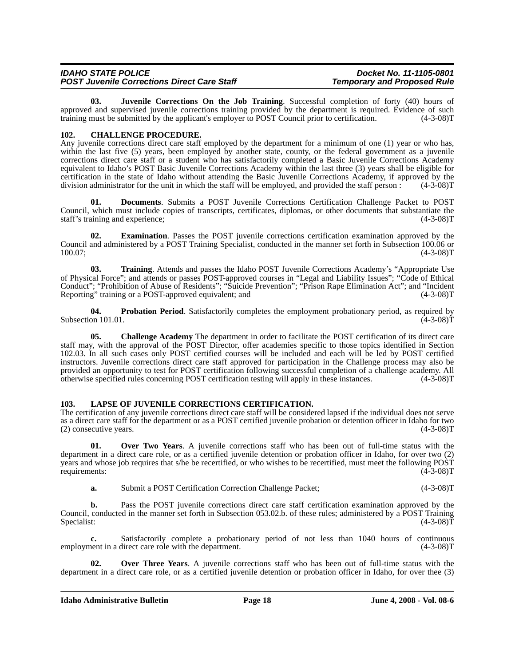| <b>IDAHO STATE POLICE</b>                          | Docket No. 11-1105-0801            |
|----------------------------------------------------|------------------------------------|
| <b>POST Juvenile Corrections Direct Care Staff</b> | <b>Temporary and Proposed Rule</b> |

**03. Juvenile Corrections On the Job Training**. Successful completion of forty (40) hours of approved and supervised juvenile corrections training provided by the department is required. Evidence of such training must be submitted by the applicant's employer to POST Council prior to certification. (4-3-08)T

# **102. CHALLENGE PROCEDURE.**

Any juvenile corrections direct care staff employed by the department for a minimum of one (1) year or who has, within the last five (5) years, been employed by another state, county, or the federal government as a juvenile corrections direct care staff or a student who has satisfactorily completed a Basic Juvenile Corrections Academy equivalent to Idaho's POST Basic Juvenile Corrections Academy within the last three (3) years shall be eligible for certification in the state of Idaho without attending the Basic Juvenile Corrections Academy, if approved by the division administrator for the unit in which the staff will be employed, and provided the staff person : (4-3-08)T

**01. Documents**. Submits a POST Juvenile Corrections Certification Challenge Packet to POST Council, which must include copies of transcripts, certificates, diplomas, or other documents that substantiate the staff's training and experience; (4-3-08)T

**02. Examination**. Passes the POST juvenile corrections certification examination approved by the Council and administered by a POST Training Specialist, conducted in the manner set forth in Subsection 100.06 or 100.07; (4-3-08)T

**03. Training**. Attends and passes the Idaho POST Juvenile Corrections Academy's "Appropriate Use of Physical Force"; and attends or passes POST-approved courses in "Legal and Liability Issues"; "Code of Ethical Conduct"; "Prohibition of Abuse of Residents"; "Suicide Prevention"; "Prison Rape Elimination Act"; and "Incident Reporting" training or a POST-approved equivalent; and (4-3-08)T

**04. Probation Period**. Satisfactorily completes the employment probationary period, as required by on 101.01. (4-3-08) Subsection 101.01.

**05. Challenge Academy** The department in order to facilitate the POST certification of its direct care staff may, with the approval of the POST Director, offer academies specific to those topics identified in Section 102.03. In all such cases only POST certified courses will be included and each will be led by POST certified instructors. Juvenile corrections direct care staff approved for participation in the Challenge process may also be provided an opportunity to test for POST certification following successful completion of a challenge academy. All otherwise specified rules concerning POST certification testing will apply in these instances. (4-3-08)T

# **103. LAPSE OF JUVENILE CORRECTIONS CERTIFICATION.**

The certification of any juvenile corrections direct care staff will be considered lapsed if the individual does not serve as a direct care staff for the department or as a POST certified juvenile probation or detention officer in Idaho for two (2) consecutive years. (4-3-08)T  $(2)$  consecutive years.

**01. Over Two Years**. A juvenile corrections staff who has been out of full-time status with the department in a direct care role, or as a certified juvenile detention or probation officer in Idaho, for over two (2) years and whose job requires that s/he be recertified, or who wishes to be recertified, must meet the following POST requirements: (4-3-08)T requirements:

**a.** Submit a POST Certification Correction Challenge Packet;  $(4-3-08)$ T

**b.** Pass the POST juvenile corrections direct care staff certification examination approved by the Council, conducted in the manner set forth in Subsection 053.02.b. of these rules; administered by a POST Training Specialist: (4-3-08)T Specialist: (4-3-08)T

**c.** Satisfactorily complete a probationary period of not less than 1040 hours of continuous nent in a direct care role with the department. (4-3-08)<sup>T</sup> employment in a direct care role with the department.

**02. Over Three Years**. A juvenile corrections staff who has been out of full-time status with the department in a direct care role, or as a certified juvenile detention or probation officer in Idaho, for over thee (3)